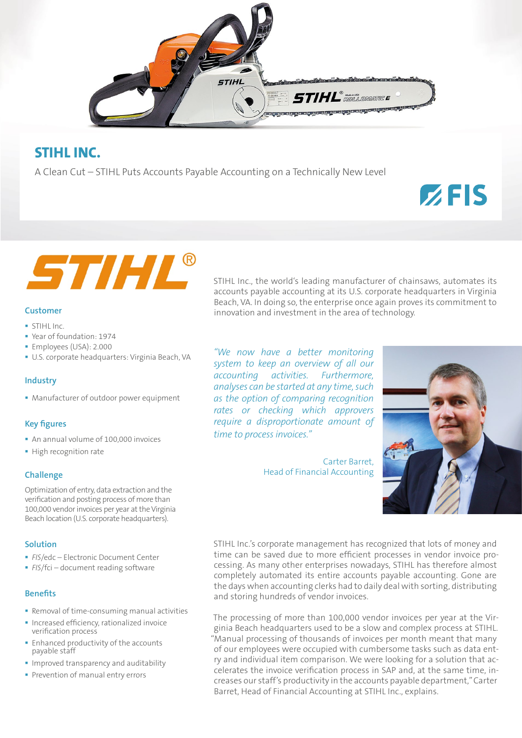

# **STIHL INC.**

A Clean Cut – STIHL Puts Accounts Payable Accounting on a Technically New Level

# STIHL®

## **Customer**

- STIHL Inc.
- Year of foundation: 1974
- Employees (USA): 2.000
- U.S. corporate headquarters: Virginia Beach, VA

#### **Industry**

Manufacturer of outdoor power equipment

### **Key figures**

- An annual volume of 100,000 invoices
- **High recognition rate**

#### **Challenge**

Optimization of entry, data extraction and the verification and posting process of more than 100,000 vendor invoices per year at the Virginia Beach location (U.S. corporate headquarters).

#### **Solution**

- *FIS*/edc Electronic Document Center
- **FIS/fci** document reading software

#### **Benefits**

- **Removal of time-consuming manual activities**
- **Increased efficiency, rationalized invoice** verification process
- **Enhanced productivity of the accounts** payable staff
- **Improved transparency and auditability**
- **Prevention of manual entry errors**

STIHL Inc., the world's leading manufacturer of chainsaws, automates its accounts payable accounting at its U.S. corporate headquarters in Virginia Beach, VA. In doing so, the enterprise once again proves its commitment to innovation and investment in the area of technology.

*"We now have a better monitoring system to keep an overview of all our accounting activities. Furthermore, analyses can be started at any time, such as the option of comparing recognition rates or checking which approvers require a disproportionate amount of time to process invoices."*

> Carter Barret, Head of Financial Accounting



 $Z$ FIS

STIHL Inc.'s corporate management has recognized that lots of money and time can be saved due to more efficient processes in vendor invoice processing. As many other enterprises nowadays, STIHL has therefore almost completely automated its entire accounts payable accounting. Gone are the days when accounting clerks had to daily deal with sorting, distributing and storing hundreds of vendor invoices.

The processing of more than 100,000 vendor invoices per year at the Virginia Beach headquarters used to be a slow and complex process at STIHL. "Manual processing of thousands of invoices per month meant that many of our employees were occupied with cumbersome tasks such as data entry and individual item comparison. We were looking for a solution that accelerates the invoice verification process in SAP and, at the same time, increases our staff's productivity in the accounts payable department," Carter Barret, Head of Financial Accounting at STIHL Inc., explains.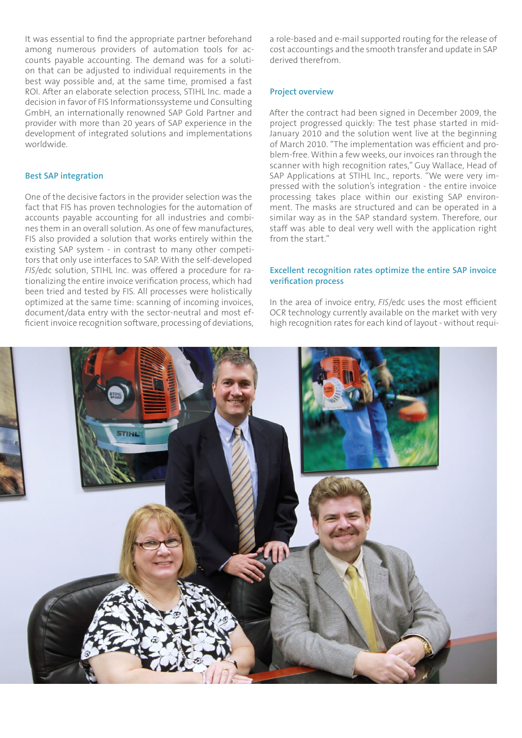It was essential to find the appropriate partner beforehand among numerous providers of automation tools for accounts payable accounting. The demand was for a solution that can be adjusted to individual requirements in the best way possible and, at the same time, promised a fast ROI. After an elaborate selection process, STIHL Inc. made a decision in favor of FIS Informationssysteme und Consulting GmbH, an internationally renowned SAP Gold Partner and provider with more than 20 years of SAP experience in the development of integrated solutions and implementations worldwide.

#### **Best SAP integration**

One of the decisive factors in the provider selection was the fact that FIS has proven technologies for the automation of accounts payable accounting for all industries and combines them in an overall solution. As one of few manufactures, FIS also provided a solution that works entirely within the existing SAP system - in contrast to many other competitors that only use interfaces to SAP. With the self-developed *FIS*/edc solution, STIHL Inc. was offered a procedure for rationalizing the entire invoice verification process, which had been tried and tested by FIS. All processes were holistically optimized at the same time: scanning of incoming invoices, document/data entry with the sector-neutral and most efficient invoice recognition software, processing of deviations, a role-based and e-mail supported routing for the release of cost accountings and the smooth transfer and update in SAP derived therefrom.

#### **Project overview**

After the contract had been signed in December 2009, the project progressed quickly: The test phase started in mid-January 2010 and the solution went live at the beginning of March 2010. "The implementation was efficient and problem-free. Within a few weeks, our invoices ran through the scanner with high recognition rates," Guy Wallace, Head of SAP Applications at STIHL Inc., reports. "We were very impressed with the solution's integration - the entire invoice processing takes place within our existing SAP environment. The masks are structured and can be operated in a similar way as in the SAP standard system. Therefore, our staff was able to deal very well with the application right from the start"

#### **Excellent recognition rates optimize the entire SAP invoice verification process**

In the area of invoice entry, *FIS*/edc uses the most efficient OCR technology currently available on the market with very high recognition rates for each kind of layout - without requi-

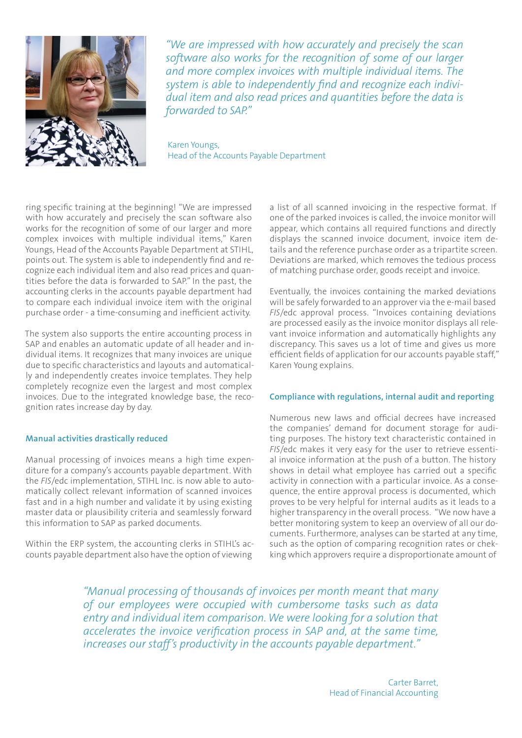

*"We are impressed with how accurately and precisely the scan software also works for the recognition of some of our larger and more complex invoices with multiple individual items. The system is able to independently find and recognize each individual item and also read prices and quantities before the data is forwarded to SAP."* 

Karen Youngs, Head of the Accounts Payable Department

ring specific training at the beginning! "We are impressed with how accurately and precisely the scan software also works for the recognition of some of our larger and more complex invoices with multiple individual items," Karen Youngs, Head of the Accounts Payable Department at STIHL, points out. The system is able to independently find and recognize each individual item and also read prices and quantities before the data is forwarded to SAP." In the past, the accounting clerks in the accounts payable department had to compare each individual invoice item with the original purchase order - a time-consuming and inefficient activity.

The system also supports the entire accounting process in SAP and enables an automatic update of all header and individual items. It recognizes that many invoices are unique due to specific characteristics and layouts and automatically and independently creates invoice templates. They help completely recognize even the largest and most complex invoices. Due to the integrated knowledge base, the recognition rates increase day by day.

#### **Manual activities drastically reduced**

Manual processing of invoices means a high time expenditure for a company's accounts payable department. With the *FIS*/edc implementation, STIHL Inc. is now able to automatically collect relevant information of scanned invoices fast and in a high number and validate it by using existing master data or plausibility criteria and seamlessly forward this information to SAP as parked documents.

Within the ERP system, the accounting clerks in STIHL's accounts payable department also have the option of viewing

a list of all scanned invoicing in the respective format. If one of the parked invoices is called, the invoice monitor will appear, which contains all required functions and directly displays the scanned invoice document, invoice item details and the reference purchase order as a tripartite screen. Deviations are marked, which removes the tedious process of matching purchase order, goods receipt and invoice.

Eventually, the invoices containing the marked deviations will be safely forwarded to an approver via the e-mail based *FIS*/edc approval process. "Invoices containing deviations are processed easily as the invoice monitor displays all relevant invoice information and automatically highlights any discrepancy. This saves us a lot of time and gives us more efficient fields of application for our accounts payable staff," Karen Young explains.

#### **Compliance with regulations, internal audit and reporting**

Numerous new laws and official decrees have increased the companies' demand for document storage for auditing purposes. The history text characteristic contained in *FIS*/edc makes it very easy for the user to retrieve essential invoice information at the push of a button. The history shows in detail what employee has carried out a specific activity in connection with a particular invoice. As a consequence, the entire approval process is documented, which proves to be very helpful for internal audits as it leads to a higher transparency in the overall process. "We now have a better monitoring system to keep an overview of all our documents. Furthermore, analyses can be started at any time, such as the option of comparing recognition rates or chekking which approvers require a disproportionate amount of

*"Manual processing of thousands of invoices per month meant that many of our employees were occupied with cumbersome tasks such as data entry and individual item comparison. We were looking for a solution that accelerates the invoice verification process in SAP and, at the same time, increases our staff's productivity in the accounts payable department."*